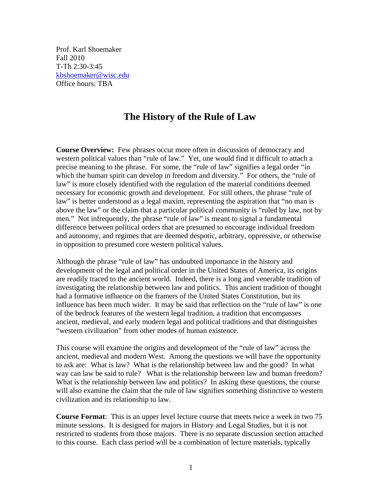Prof. Karl Shoemaker Fall 2010 T-Th 2:30-3:45 kbshoemaker@wisc.edu Office hours: TBA

# **The History of the Rule of Law**

**Course Overview:** Few phrases occur more often in discussion of democracy and western political values than "rule of law." Yet, one would find it difficult to attach a precise meaning to the phrase. For some, the "rule of law" signifies a legal order "in which the human spirit can develop in freedom and diversity." For others, the "rule of law" is more closely identified with the regulation of the material conditions deemed necessary for economic growth and development. For still others, the phrase "rule of law" is better understood as a legal maxim, representing the aspiration that "no man is above the law" or the claim that a particular political community is "ruled by law, not by men." Not infrequently, the phrase "rule of law" is meant to signal a fundamental difference between political orders that are presumed to encourage individual freedom and autonomy, and regimes that are deemed despotic, arbitrary, oppressive, or otherwise in opposition to presumed core western political values.

Although the phrase "rule of law" has undoubted importance in the history and development of the legal and political order in the United States of America, its origins are readily traced to the ancient world. Indeed, there is a long and venerable tradition of investigating the relationship between law and politics. This ancient tradition of thought had a formative influence on the framers of the United States Constitution, but its influence has been much wider. It may be said that reflection on the "rule of law" is one of the bedrock features of the western legal tradition, a tradition that encompasses ancient, medieval, and early modern legal and political traditions and that distinguishes "western civilization" from other modes of human existence.

This course will examine the origins and development of the "rule of law" across the ancient, medieval and modern West. Among the questions we will have the opportunity to ask are: What is law? What is the relationship between law and the good? In what way can law be said to rule? What is the relationship between law and human freedom? What is the relationship between law and politics? In asking these questions, the course will also examine the claim that the rule of law signifies something distinctive to western civilization and its relationship to law.

**Course Format**: This is an upper level lecture course that meets twice a week in two 75 minute sessions. It is designed for majors in History and Legal Studies, but it is not restricted to students from those majors. There is no separate discussion section attached to this course. Each class period will be a combination of lecture materials, typically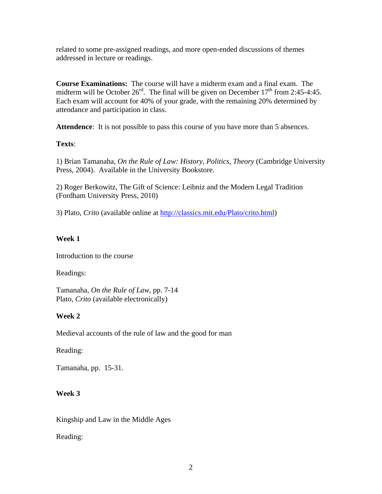related to some pre-assigned readings, and more open-ended discussions of themes addressed in lecture or readings.

**Course Examinations:** The course will have a midterm exam and a final exam. The midterm will be October  $26^{\text{rd}}$ . The final will be given on December  $17^{\text{th}}$  from 2:45-4:45. Each exam will account for 40% of your grade, with the remaining 20% determined by attendance and participation in class.

Attendence: It is not possible to pass this course of you have more than 5 absences.

## **Texts**:

1) Brian Tamanaha, *On the Rule of Law: History, Politics, Theory* (Cambridge University Press, 2004). Available in the University Bookstore.

2) Roger Berkowitz, The Gift of Science: Leibniz and the Modern Legal Tradition (Fordham University Press, 2010)

3) Plato, *Crito* (available online at http://classics.mit.edu/Plato/crito.html)

## **Week 1**

Introduction to the course

Readings:

Tamanaha, *On the Rule of Law*, pp. 7-14 Plato, *Crito* (available electronically)

# **Week 2**

Medieval accounts of the rule of law and the good for man

Reading:

Tamanaha, pp. 15-31.

# **Week 3**

Kingship and Law in the Middle Ages

Reading: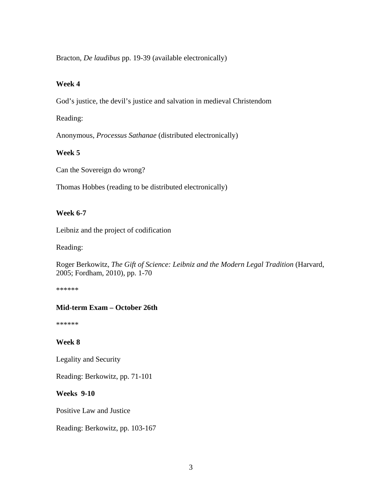Bracton, *De laudibus* pp. 19-39 (available electronically)

#### **Week 4**

God's justice, the devil's justice and salvation in medieval Christendom

Reading:

Anonymous, *Processus Sathanae* (distributed electronically)

#### **Week 5**

Can the Sovereign do wrong?

Thomas Hobbes (reading to be distributed electronically)

#### **Week 6-7**

Leibniz and the project of codification

Reading:

Roger Berkowitz, *The Gift of Science: Leibniz and the Modern Legal Tradition* (Harvard, 2005; Fordham, 2010), pp. 1-70

\*\*\*\*\*\*

## **Mid-term Exam – October 26th**

\*\*\*\*\*\*

## **Week 8**

Legality and Security

Reading: Berkowitz, pp. 71-101

#### **Weeks 9-10**

Positive Law and Justice

Reading: Berkowitz, pp. 103-167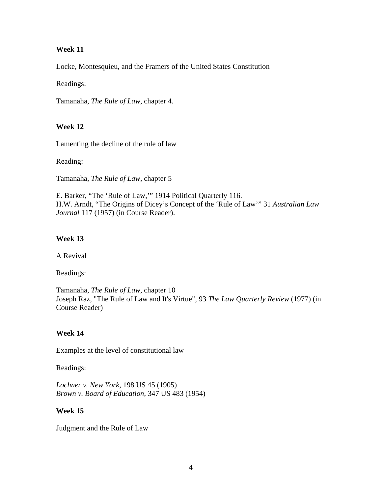#### **Week 11**

Locke, Montesquieu, and the Framers of the United States Constitution

Readings:

Tamanaha, *The Rule of Law*, chapter 4.

## **Week 12**

Lamenting the decline of the rule of law

Reading:

Tamanaha, *The Rule of Law*, chapter 5

E. Barker, "The 'Rule of Law,'" 1914 Political Quarterly 116. H.W. Arndt, "The Origins of Dicey's Concept of the 'Rule of Law'" 31 *Australian Law Journal* 117 (1957) (in Course Reader).

## **Week 13**

A Revival

Readings:

Tamanaha, *The Rule of Law*, chapter 10 Joseph Raz, "The Rule of Law and It's Virtue", 93 *The Law Quarterly Review* (1977) (in Course Reader)

## **Week 14**

Examples at the level of constitutional law

Readings:

*Lochner v. New York*, 198 US 45 (1905) *Brown v. Board of Education*, 347 US 483 (1954)

#### **Week 15**

Judgment and the Rule of Law